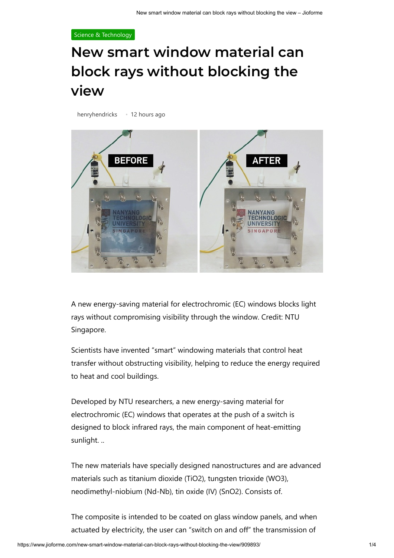## [Science & Technology](https://www.jioforme.com/category/science-technology/)

## **New smart window material can block rays without blocking the view**

[henryhendricks](https://www.jioforme.com/author/henryhendricks/) • 12 hours ago



A new energy-saving material for electrochromic (EC) windows blocks light rays without compromising visibility through the window. Credit: NTU Singapore.

Scientists have invented "smart" windowing materials that control heat transfer without obstructing visibility, helping to reduce the energy required to heat and cool buildings.

Developed by NTU researchers, a new energy-saving material for electrochromic (EC) windows that operates at the push of a switch is designed to block infrared rays, the main component of heat-emitting sunlight. ..

The new materials have specially designed nanostructures and are advanced materials such as titanium dioxide (TiO2), tungsten trioxide (WO3), neodimethyl-niobium (Nd-Nb), tin oxide (IV) (SnO2). Consists of.

The composite is intended to be coated on glass window panels, and when actuated by electricity, the user can "switch on and off" the transmission of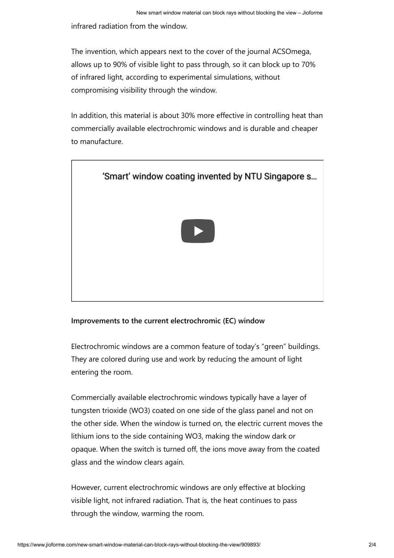infrared radiation from the window.

The invention, which appears next to the cover of the journal ACSOmega, allows up to 90% of visible light to pass through, so it can block up to 70% of infrared light, according to experimental simulations, without compromising visibility through the window.

In addition, this material is about 30% more effective in controlling heat than commercially available electrochromic windows and is durable and cheaper to manufacture.



## **Improvements to the current electrochromic (EC) window**

Electrochromic windows are a common feature of today's "green" buildings. They are colored during use and work by reducing the amount of light entering the room.

Commercially available electrochromic windows typically have a layer of tungsten trioxide (WO3) coated on one side of the glass panel and not on the other side. When the window is turned on, the electric current moves the lithium ions to the side containing WO3, making the window dark or opaque. When the switch is turned off, the ions move away from the coated glass and the window clears again.

However, current electrochromic windows are only effective at blocking visible light, not infrared radiation. That is, the heat continues to pass through the window, warming the room.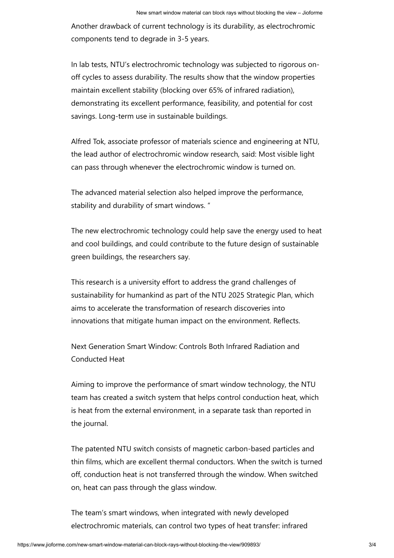Another drawback of current technology is its durability, as electrochromic components tend to degrade in 3-5 years.

In lab tests, NTU's electrochromic technology was subjected to rigorous onoff cycles to assess durability. The results show that the window properties maintain excellent stability (blocking over 65% of infrared radiation), demonstrating its excellent performance, feasibility, and potential for cost savings. Long-term use in sustainable buildings.

Alfred Tok, associate professor of materials science and engineering at NTU, the lead author of electrochromic window research, said: Most visible light can pass through whenever the electrochromic window is turned on.

The advanced material selection also helped improve the performance, stability and durability of smart windows. "

The new electrochromic technology could help save the energy used to heat and cool buildings, and could contribute to the future design of sustainable green buildings, the researchers say.

This research is a university effort to address the grand challenges of sustainability for humankind as part of the NTU 2025 Strategic Plan, which aims to accelerate the transformation of research discoveries into innovations that mitigate human impact on the environment. Reflects.

Next Generation Smart Window: Controls Both Infrared Radiation and Conducted Heat

Aiming to improve the performance of smart window technology, the NTU team has created a switch system that helps control conduction heat, which is heat from the external environment, in a separate task than reported in the journal.

The patented NTU switch consists of magnetic carbon-based particles and thin films, which are excellent thermal conductors. When the switch is turned off, conduction heat is not transferred through the window. When switched on, heat can pass through the glass window.

The team's smart windows, when integrated with newly developed electrochromic materials, can control two types of heat transfer: infrared